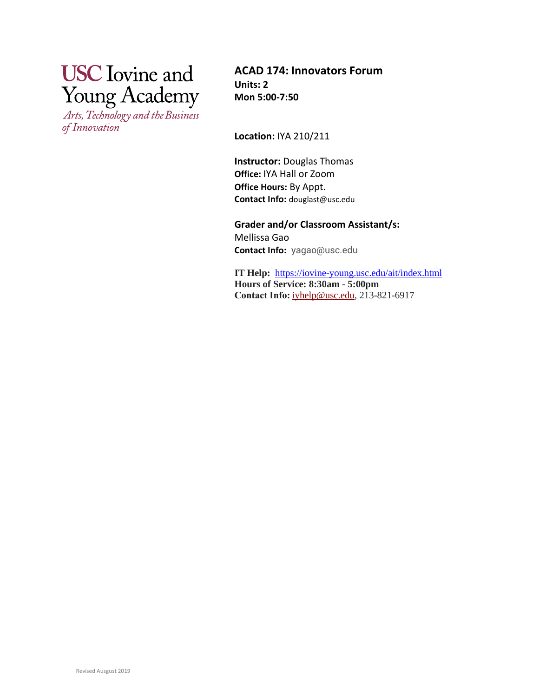# **USC** Iovine and **Young Academy**

Arts, Technology and the Business of Innovation

**ACAD 174: Innovators Forum Units: 2 Mon 5:00-7:50**

**Location:** IYA 210/211

**Instructor:** Douglas Thomas **Office:** IYA Hall or Zoom **Office Hours:** By Appt. **Contact Info:** douglast@usc.edu

**Grader and/or Classroom Assistant/s:**  Mellissa Gao **Contact Info:** yagao@usc.edu

**IT Help:** <https://iovine-young.usc.edu/ait/index.html> **Hours of Service: 8:30am - 5:00pm Contact Info:**[iyhelp@usc.edu,](mailto:iyhelp@usc.edu) 213-821-6917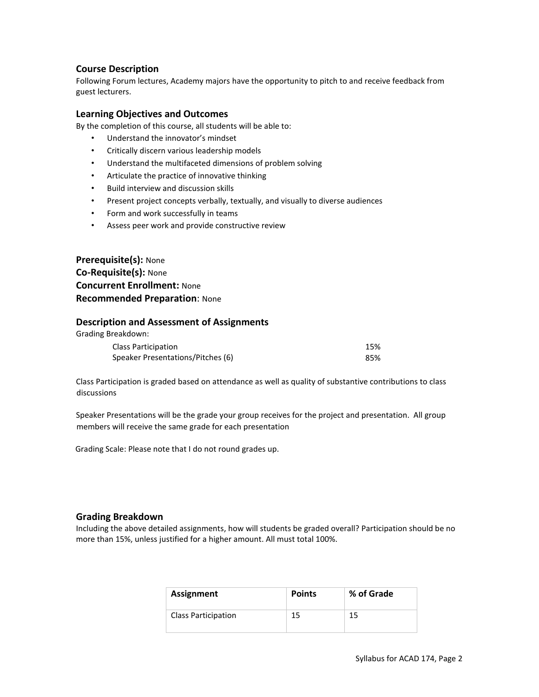## **Course Description**

Following Forum lectures, Academy majors have the opportunity to pitch to and receive feedback from guest lecturers.

#### **Learning Objectives and Outcomes**

By the completion of this course, all students will be able to:

- Understand the innovator's mindset
- Critically discern various leadership models
- Understand the multifaceted dimensions of problem solving
- Articulate the practice of innovative thinking
- Build interview and discussion skills
- Present project concepts verbally, textually, and visually to diverse audiences
- Form and work successfully in teams
- Assess peer work and provide constructive review

**Prerequisite(s):** None **Co-Requisite(s):** None **Concurrent Enrollment:** None **Recommended Preparation**: None

#### **Description and Assessment of Assignments**

| Grading Breakdown:                |     |
|-----------------------------------|-----|
| Class Participation               | 15% |
| Speaker Presentations/Pitches (6) | 85% |

Class Participation is graded based on attendance as well as quality of substantive contributions to class discussions

Speaker Presentations will be the grade your group receives for the project and presentation. All group members will receive the same grade for each presentation

Grading Scale: Please note that I do not round grades up.

#### **Grading Breakdown**

Including the above detailed assignments, how will students be graded overall? Participation should be no more than 15%, unless justified for a higher amount. All must total 100%.

| <b>Assignment</b>          | <b>Points</b> | % of Grade |
|----------------------------|---------------|------------|
| <b>Class Participation</b> | 15            | 15         |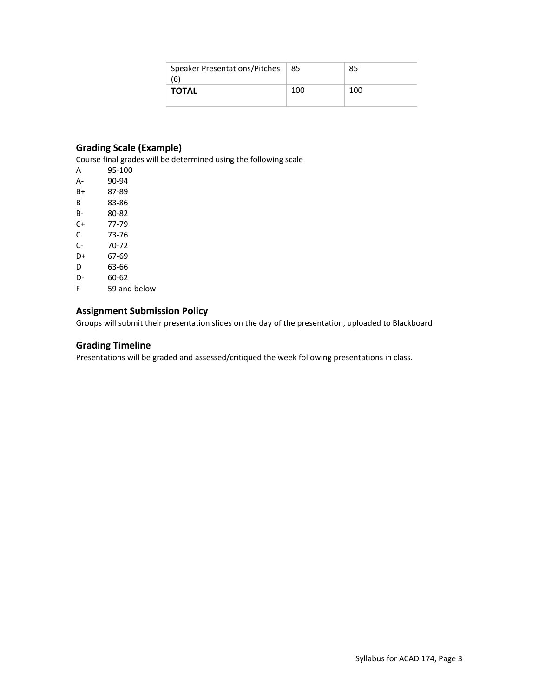| Speaker Presentations/Pitches<br>(6) | 85  | 85  |
|--------------------------------------|-----|-----|
| <b>TOTAL</b>                         | 100 | 100 |

## **Grading Scale (Example)**

Course final grades will be determined using the following scale

|    | Course final gra |
|----|------------------|
| А  | 95-100           |
| А- | 90-94            |
| B+ | 87-89            |
| В  | 83-86            |
| в- | 80-82            |
| C+ | 77-79            |
| C  | 73-76            |
| C- | 70-72            |
| D+ | 67-69            |
| D  | 63-66            |
| D- | 60-62            |
| c  | 50 and           |

F 59 and below

## **Assignment Submission Policy**

Groups will submit their presentation slides on the day of the presentation, uploaded to Blackboard

## **Grading Timeline**

Presentations will be graded and assessed/critiqued the week following presentations in class.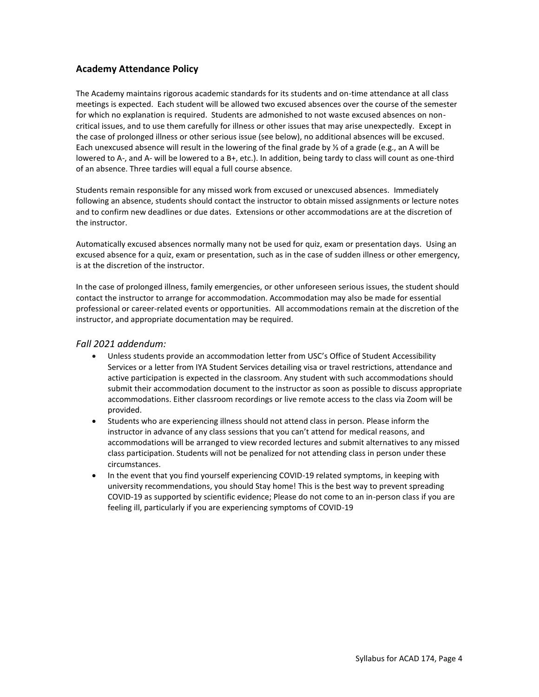## **Academy Attendance Policy**

The Academy maintains rigorous academic standards for its students and on-time attendance at all class meetings is expected. Each student will be allowed two excused absences over the course of the semester for which no explanation is required. Students are admonished to not waste excused absences on noncritical issues, and to use them carefully for illness or other issues that may arise unexpectedly. Except in the case of prolonged illness or other serious issue (see below), no additional absences will be excused. Each unexcused absence will result in the lowering of the final grade by ⅓ of a grade (e.g., an A will be lowered to A-, and A- will be lowered to a B+, etc.). In addition, being tardy to class will count as one-third of an absence. Three tardies will equal a full course absence.

Students remain responsible for any missed work from excused or unexcused absences. Immediately following an absence, students should contact the instructor to obtain missed assignments or lecture notes and to confirm new deadlines or due dates. Extensions or other accommodations are at the discretion of the instructor.

Automatically excused absences normally many not be used for quiz, exam or presentation days. Using an excused absence for a quiz, exam or presentation, such as in the case of sudden illness or other emergency, is at the discretion of the instructor.

In the case of prolonged illness, family emergencies, or other unforeseen serious issues, the student should contact the instructor to arrange for accommodation. Accommodation may also be made for essential professional or career-related events or opportunities. All accommodations remain at the discretion of the instructor, and appropriate documentation may be required.

## *Fall 2021 addendum:*

- Unless students provide an accommodation letter from USC's Office of Student Accessibility Services or a letter from IYA Student Services detailing visa or travel restrictions, attendance and active participation is expected in the classroom. Any student with such accommodations should submit their accommodation document to the instructor as soon as possible to discuss appropriate accommodations. Either classroom recordings or live remote access to the class via Zoom will be provided.
- Students who are experiencing illness should not attend class in person. Please inform the instructor in advance of any class sessions that you can't attend for medical reasons, and accommodations will be arranged to view recorded lectures and submit alternatives to any missed class participation. Students will not be penalized for not attending class in person under these circumstances.
- In the event that you find yourself experiencing COVID-19 related symptoms, in keeping with university recommendations, you should Stay home! This is the best way to prevent spreading COVID-19 as supported by scientific evidence; Please do not come to an in-person class if you are feeling ill, particularly if you are experiencing symptoms of COVID-19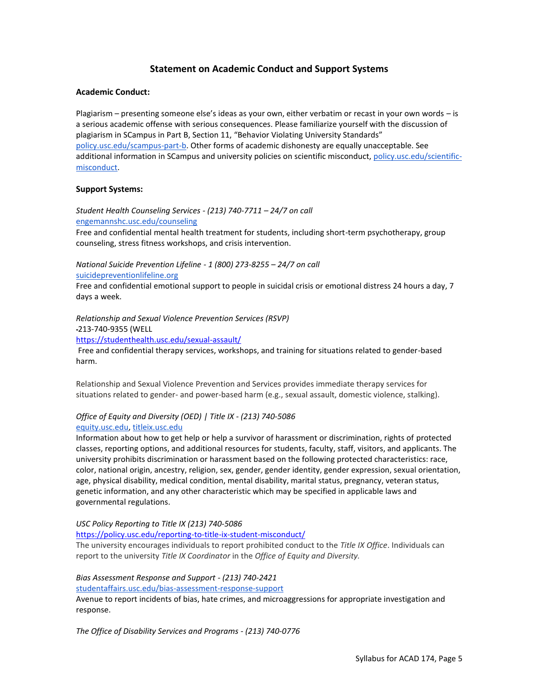## **Statement on Academic Conduct and Support Systems**

#### **Academic Conduct:**

Plagiarism – presenting someone else's ideas as your own, either verbatim or recast in your own words – is a serious academic offense with serious consequences. Please familiarize yourself with the discussion of plagiarism in SCampus in Part B, Section 11, "Behavior Violating University Standards" [policy.usc.edu/scampus-part-b.](https://policy.usc.edu/scampus-part-b/) Other forms of academic dishonesty are equally unacceptable. See additional information in SCampus and university policies on scientific misconduct[, policy.usc.edu/scientific](http://policy.usc.edu/scientific-misconduct)[misconduct.](http://policy.usc.edu/scientific-misconduct)

#### **Support Systems:**

*Student Health Counseling Services - (213) 740-7711 – 24/7 on call* [engemannshc.usc.edu/counseling](https://engemannshc.usc.edu/counseling/)

Free and confidential mental health treatment for students, including short-term psychotherapy, group counseling, stress fitness workshops, and crisis intervention.

*National Suicide Prevention Lifeline - 1 (800) 273-8255 – 24/7 on call* [suicidepreventionlifeline.org](http://www.suicidepreventionlifeline.org/)

Free and confidential emotional support to people in suicidal crisis or emotional distress 24 hours a day, 7 days a week.

*Relationship and Sexual Violence Prevention Services (RSVP)* 

213-740-9355 (WELL

<https://studenthealth.usc.edu/sexual-assault/>

Free and confidential therapy services, workshops, and training for situations related to gender-based harm.

Relationship and Sexual Violence Prevention and Services provides immediate therapy services for situations related to gender- and power-based harm (e.g., sexual assault, domestic violence, stalking)[.](https://engemannshc.usc.edu/rsvp/)

## *Office of Equity and Diversity (OED) | Title IX - (213) 740-5086* [equity.usc.edu,](https://equity.usc.edu/) [titleix.usc.edu](http://titleix.usc.edu/)

Information about how to get help or help a survivor of harassment or discrimination, rights of protected classes, reporting options, and additional resources for students, faculty, staff, visitors, and applicants. The university prohibits discrimination or harassment based on the following protected characteristics: race, color, national origin, ancestry, religion, sex, gender, gender identity, gender expression, sexual orientation, age, physical disability, medical condition, mental disability, marital status, pregnancy, veteran status, genetic information, and any other characteristic which may be specified in applicable laws and governmental regulations.

*USC Policy Reporting to Title IX (213) 740-5086*

<https://policy.usc.edu/reporting-to-title-ix-student-misconduct/>

The university encourages individuals to report prohibited conduct to the *Title IX Office*. Individuals can report to the university *Title IX Coordinator* in the *Office of Equity and Diversity[.](http://sarc.usc.edu/)*

#### *Bias Assessment Response and Support - (213) 740-2421* [studentaffairs.usc.edu/bias-assessment-response-support](https://studentaffairs.usc.edu/bias-assessment-response-support/)

Avenue to report incidents of bias, hate crimes, and microaggressions for appropriate investigation and response[.](https://studentaffairs.usc.edu/bias-assessment-response-support/)

*The Office of Disability Services and Programs - (213) 740-0776*